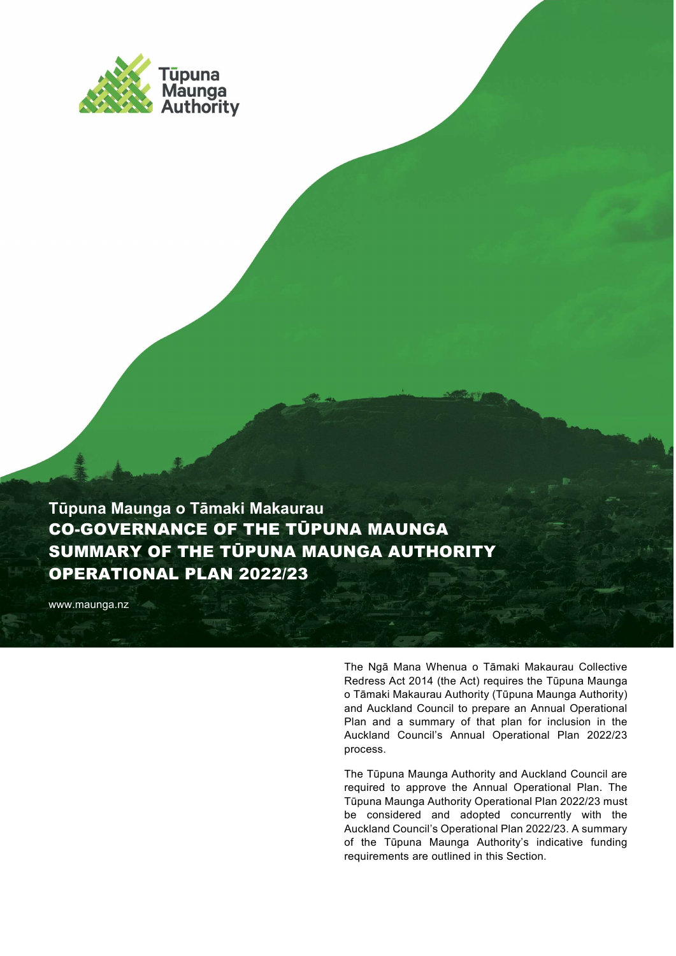

Tūpuna Maunga o Tāmaki Makaurau CO-GOVERNANCE OF THE TŪPUNA MAUNGA SUMMARY OF THE TŪPUNA MAUNGA AUTHORITY OPERATIONAL PLAN 2022/23

www.maunga.nz

The Ngā Mana Whenua o Tāmaki Makaurau Collective Redress Act 2014 (the Act) requires the Tūpuna Maunga o Tāmaki Makaurau Authority (Tūpuna Maunga Authority) and Auckland Council to prepare an Annual Operational Plan and a summary of that plan for inclusion in the Auckland Council's Annual Operational Plan 2022/23 process.

The Tūpuna Maunga Authority and Auckland Council are required to approve the Annual Operational Plan. The Tūpuna Maunga Authority Operational Plan 2022/23 must be considered and adopted concurrently with the Auckland Council's Operational Plan 2022/23. A summary of the Tūpuna Maunga Authority's indicative funding requirements are outlined in this Section.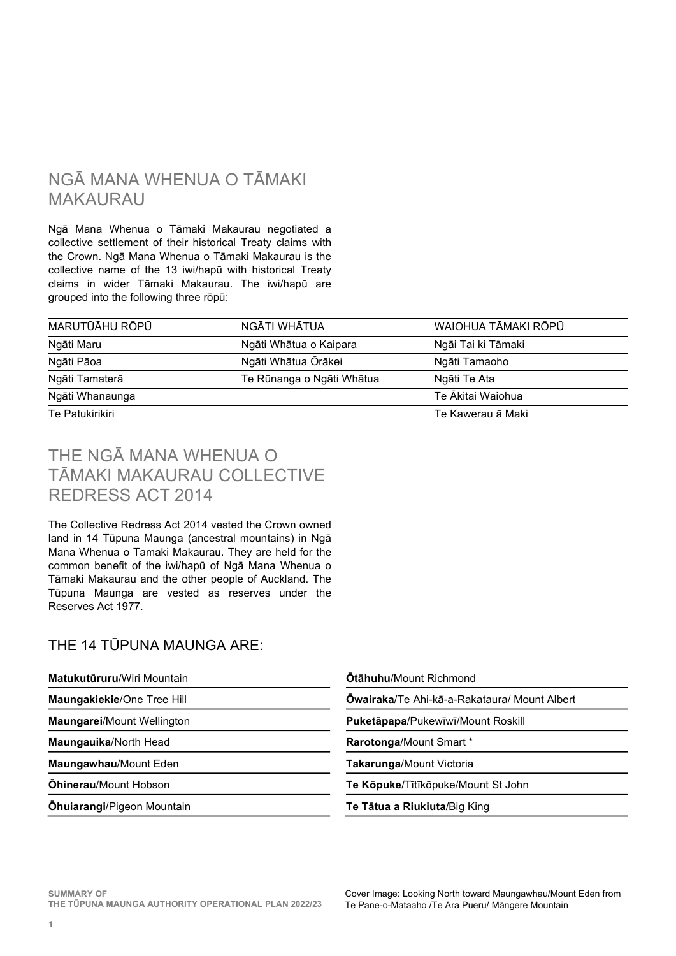# NGĀ MANA WHENUA O TĀMAKI MAKAURAU

Ngā Mana Whenua o Tāmaki Makaurau negotiated a collective settlement of their historical Treaty claims with the Crown. Ngā Mana Whenua o Tāmaki Makaurau is the collective name of the 13 iwi/hapū with historical Treaty claims in wider Tāmaki Makaurau. The iwi/hapū are grouped into the following three rōpū:

| MARUTŪĀHU RŌPŪ                              | NGĀTI WHĀTUA           | WAIOHUA TĀMAKI RŌPŪ |  |  |
|---------------------------------------------|------------------------|---------------------|--|--|
| Ngāti Maru                                  | Ngāti Whātua o Kaipara | Ngāi Tai ki Tāmaki  |  |  |
| Ngāti Pāoa                                  | Ngāti Whātua Ōrākei    | Ngāti Tamaoho       |  |  |
| Te Rūnanga o Ngāti Whātua<br>Ngāti Tamaterā |                        | Ngāti Te Ata        |  |  |
| Ngāti Whanaunga                             |                        | Te Ākitai Waiohua   |  |  |
| Te Patukirikiri                             |                        | Te Kawerau ā Maki   |  |  |

# THE NGĀ MANA WHENUA O TĀMAKI MAKAURAU COLLECTIVE REDRESS ACT 2014

The Collective Redress Act 2014 vested the Crown owned land in 14 Tūpuna Maunga (ancestral mountains) in Ngā Mana Whenua o Tamaki Makaurau. They are held for the common benefit of the iwi/hapū of Ngā Mana Whenua o Tāmaki Makaurau and the other people of Auckland. The Tūpuna Maunga are vested as reserves under the Reserves Act 1977.

# THE 14 TŪPUNA MAUNGA ARE:

| Matukutūruru/Wiri Mountain        | <b>Otähuhu/Mount Richmong</b>  |  |  |  |
|-----------------------------------|--------------------------------|--|--|--|
| <b>Maungakiekie/One Tree Hill</b> | <b>Owairaka/Te Ahi-kā-a-Ra</b> |  |  |  |
| <b>Maungarei/Mount Wellington</b> | Puketāpapa/Pukewīwī/Mo         |  |  |  |
| Maungauika/North Head             | Rarotonga/Mount Smart *        |  |  |  |

- Mount Richmond Te Ahi-kā-a-Rakataura/ Mount Albert **a**/Pukewīwī/Mount Roskill **Maungawhau/Mount Eden Takarunga/Mount Victoria Ōhinerau/Mount Hobson Te Kōpuke/Tītīkōpuke/Mount St John**
- Ōhuiarangi/Pigeon Mountain Te Tātua a Riukiuta/Big King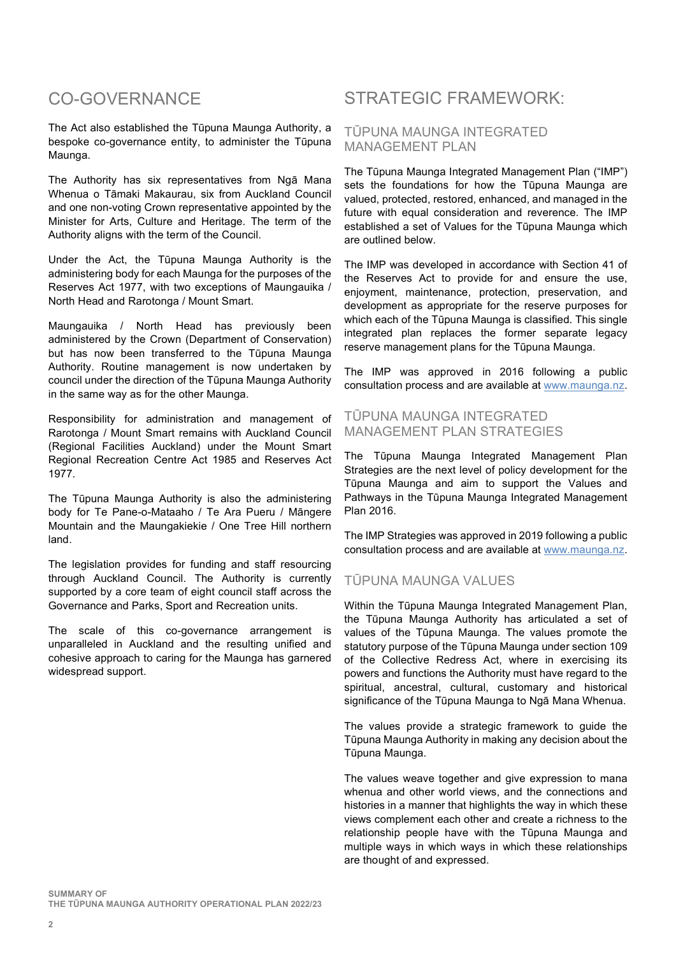# CO-GOVERNANCE

The Act also established the Tūpuna Maunga Authority, a bespoke co-governance entity, to administer the Tūpuna Maunga.

The Authority has six representatives from Ngā Mana Whenua o Tāmaki Makaurau, six from Auckland Council and one non-voting Crown representative appointed by the Minister for Arts, Culture and Heritage. The term of the Authority aligns with the term of the Council.

Under the Act, the Tūpuna Maunga Authority is the administering body for each Maunga for the purposes of the Reserves Act 1977, with two exceptions of Maungauika / North Head and Rarotonga / Mount Smart.

Maungauika / North Head has previously been administered by the Crown (Department of Conservation) but has now been transferred to the Tūpuna Maunga Authority. Routine management is now undertaken by council under the direction of the Tūpuna Maunga Authority in the same way as for the other Maunga.

Responsibility for administration and management of Rarotonga / Mount Smart remains with Auckland Council (Regional Facilities Auckland) under the Mount Smart Regional Recreation Centre Act 1985 and Reserves Act 1977.

The Tūpuna Maunga Authority is also the administering body for Te Pane-o-Mataaho / Te Ara Pueru / Māngere Mountain and the Maungakiekie / One Tree Hill northern land.

The legislation provides for funding and staff resourcing through Auckland Council. The Authority is currently supported by a core team of eight council staff across the Governance and Parks, Sport and Recreation units.

The scale of this co-governance arrangement is unparalleled in Auckland and the resulting unified and cohesive approach to caring for the Maunga has garnered widespread support.

# STRATEGIC FRAMEWORK:

## TŪPUNA MAUNGA INTEGRATED MANAGEMENT PLAN

The Tūpuna Maunga Integrated Management Plan ("IMP") sets the foundations for how the Tūpuna Maunga are valued, protected, restored, enhanced, and managed in the future with equal consideration and reverence. The IMP established a set of Values for the Tūpuna Maunga which are outlined below.

The IMP was developed in accordance with Section 41 of the Reserves Act to provide for and ensure the use, enjoyment, maintenance, protection, preservation, and development as appropriate for the reserve purposes for which each of the Tūpuna Maunga is classified. This single integrated plan replaces the former separate legacy reserve management plans for the Tūpuna Maunga.

The IMP was approved in 2016 following a public consultation process and are available at www.maunga.nz.

#### TŪPUNA MAUNGA INTEGRATED MANAGEMENT PLAN STRATEGIES

The Tūpuna Maunga Integrated Management Plan Strategies are the next level of policy development for the Tūpuna Maunga and aim to support the Values and Pathways in the Tūpuna Maunga Integrated Management Plan 2016.

The IMP Strategies was approved in 2019 following a public consultation process and are available at www.maunga.nz.

# TŪPUNA MAUNGA VALUES

Within the Tūpuna Maunga Integrated Management Plan, the Tūpuna Maunga Authority has articulated a set of values of the Tūpuna Maunga. The values promote the statutory purpose of the Tūpuna Maunga under section 109 of the Collective Redress Act, where in exercising its powers and functions the Authority must have regard to the spiritual, ancestral, cultural, customary and historical significance of the Tūpuna Maunga to Ngā Mana Whenua.

The values provide a strategic framework to guide the Tūpuna Maunga Authority in making any decision about the Tūpuna Maunga.

The values weave together and give expression to mana whenua and other world views, and the connections and histories in a manner that highlights the way in which these views complement each other and create a richness to the relationship people have with the Tūpuna Maunga and multiple ways in which ways in which these relationships are thought of and expressed.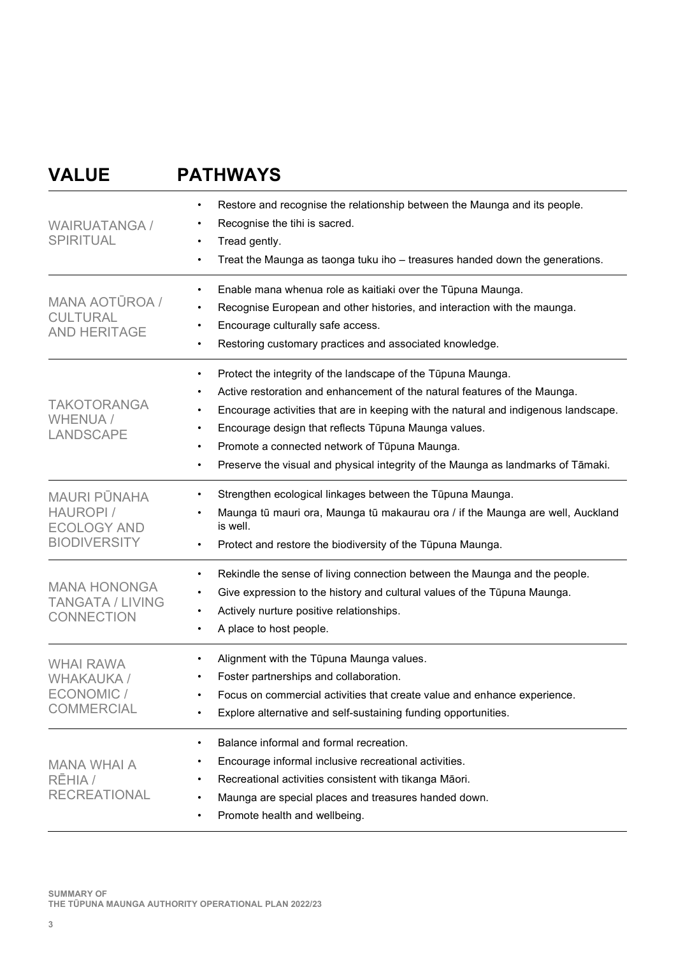# VALUE PATHWAYS

| <b>WAIRUATANGA /</b><br><b>SPIRITUAL</b>                                      | Restore and recognise the relationship between the Maunga and its people.<br>Recognise the tihi is sacred.<br>Tread gently.<br>Treat the Maunga as taonga tuku iho - treasures handed down the generations.<br>$\bullet$<br>Enable mana whenua role as kaitiaki over the Tūpuna Maunga.<br>Recognise European and other histories, and interaction with the maunga.<br>Encourage culturally safe access.<br>Restoring customary practices and associated knowledge. |  |  |  |  |  |
|-------------------------------------------------------------------------------|---------------------------------------------------------------------------------------------------------------------------------------------------------------------------------------------------------------------------------------------------------------------------------------------------------------------------------------------------------------------------------------------------------------------------------------------------------------------|--|--|--|--|--|
| <b>MANA AOTŪROA /</b><br><b>CULTURAL</b><br><b>AND HERITAGE</b>               |                                                                                                                                                                                                                                                                                                                                                                                                                                                                     |  |  |  |  |  |
| <b>TAKOTORANGA</b><br><b>WHENUA /</b><br><b>LANDSCAPE</b>                     | Protect the integrity of the landscape of the Tūpuna Maunga.<br>Active restoration and enhancement of the natural features of the Maunga.<br>Encourage activities that are in keeping with the natural and indigenous landscape.<br>Encourage design that reflects Tūpuna Maunga values.<br>Promote a connected network of Tūpuna Maunga.<br>Preserve the visual and physical integrity of the Maunga as landmarks of Tāmaki.<br>$\bullet$                          |  |  |  |  |  |
| <b>MAURI PÜNAHA</b><br>HAUROPI /<br><b>ECOLOGY AND</b><br><b>BIODIVERSITY</b> | Strengthen ecological linkages between the Tūpuna Maunga.<br>Maunga tū mauri ora, Maunga tū makaurau ora / if the Maunga are well, Auckland<br>is well.<br>Protect and restore the biodiversity of the Tūpuna Maunga.<br>$\bullet$                                                                                                                                                                                                                                  |  |  |  |  |  |
| <b>MANA HONONGA</b><br><b>TANGATA / LIVING</b><br><b>CONNECTION</b>           | Rekindle the sense of living connection between the Maunga and the people.<br>$\bullet$<br>Give expression to the history and cultural values of the Tūpuna Maunga.<br>Actively nurture positive relationships.<br>$\bullet$<br>A place to host people.                                                                                                                                                                                                             |  |  |  |  |  |
| <b>WHAI RAWA</b><br>WHAKAUKA /<br>ECONOMIC /<br><b>COMMERCIAL</b>             | Alignment with the Tūpuna Maunga values.<br>Foster partnerships and collaboration.<br>Focus on commercial activities that create value and enhance experience.<br>Explore alternative and self-sustaining funding opportunities.                                                                                                                                                                                                                                    |  |  |  |  |  |
| <b>MANA WHAI A</b><br>RĒHIA /<br><b>RECREATIONAL</b>                          | Balance informal and formal recreation.<br>$\bullet$<br>Encourage informal inclusive recreational activities.<br>Recreational activities consistent with tikanga Māori.<br>Maunga are special places and treasures handed down.<br>$\bullet$<br>Promote health and wellbeing.                                                                                                                                                                                       |  |  |  |  |  |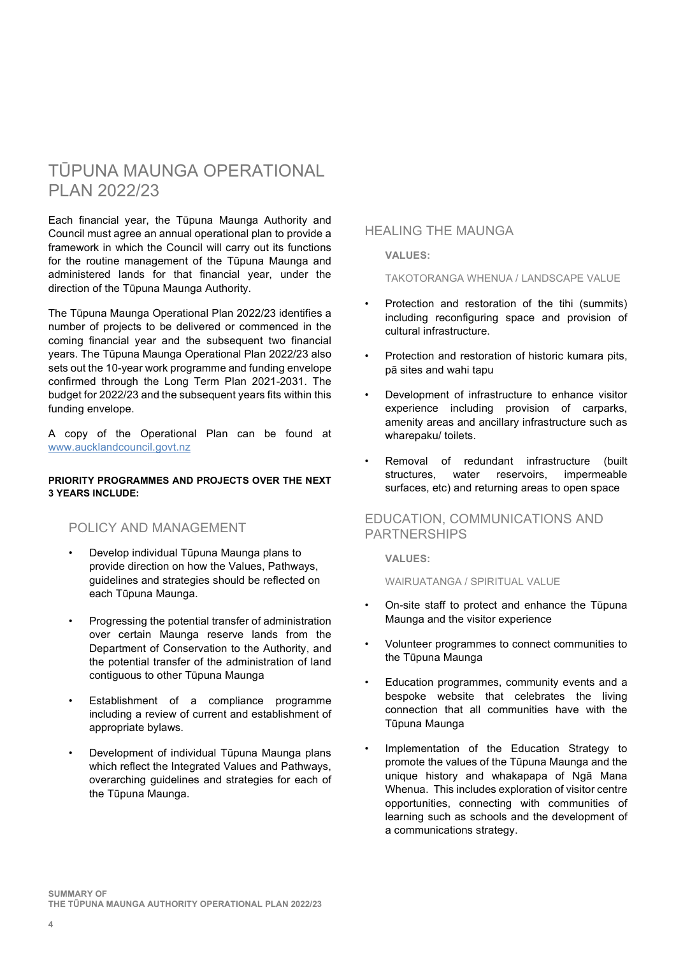# TŪPUNA MAUNGA OPERATIONAL PLAN 2022/23

Each financial year, the Tūpuna Maunga Authority and Council must agree an annual operational plan to provide a framework in which the Council will carry out its functions for the routine management of the Tūpuna Maunga and administered lands for that financial year, under the direction of the Tūpuna Maunga Authority.

The Tūpuna Maunga Operational Plan 2022/23 identifies a number of projects to be delivered or commenced in the coming financial year and the subsequent two financial years. The Tūpuna Maunga Operational Plan 2022/23 also sets out the 10-year work programme and funding envelope confirmed through the Long Term Plan 2021-2031. The budget for 2022/23 and the subsequent years fits within this funding envelope.

A copy of the Operational Plan can be found at www.aucklandcouncil.govt.nz

#### PRIORITY PROGRAMMES AND PROJECTS OVER THE NEXT 3 YEARS INCLUDE:

## POLICY AND MANAGEMENT

- Develop individual Tūpuna Maunga plans to provide direction on how the Values, Pathways, guidelines and strategies should be reflected on each Tūpuna Maunga.
- Progressing the potential transfer of administration over certain Maunga reserve lands from the Department of Conservation to the Authority, and the potential transfer of the administration of land contiguous to other Tūpuna Maunga
- Establishment of a compliance programme including a review of current and establishment of appropriate bylaws.
- Development of individual Tūpuna Maunga plans which reflect the Integrated Values and Pathways, overarching guidelines and strategies for each of the Tūpuna Maunga.

## HEALING THE MAUNGA

#### VALUES:

TAKOTORANGA WHENUA / LANDSCAPE VALUE

- Protection and restoration of the tihi (summits) including reconfiguring space and provision of cultural infrastructure.
- Protection and restoration of historic kumara pits, pā sites and wahi tapu
- Development of infrastructure to enhance visitor experience including provision of carparks, amenity areas and ancillary infrastructure such as wharepaku/ toilets.
- Removal of redundant infrastructure (built structures, water reservoirs, impermeable surfaces, etc) and returning areas to open space

## EDUCATION, COMMUNICATIONS AND PARTNERSHIPS

#### VALUES:

WAIRUATANGA / SPIRITUAL VALUE

- On-site staff to protect and enhance the Tūpuna Maunga and the visitor experience
- Volunteer programmes to connect communities to the Tūpuna Maunga
- Education programmes, community events and a bespoke website that celebrates the living connection that all communities have with the Tūpuna Maunga
- Implementation of the Education Strategy to promote the values of the Tūpuna Maunga and the unique history and whakapapa of Ngā Mana Whenua. This includes exploration of visitor centre opportunities, connecting with communities of learning such as schools and the development of a communications strategy.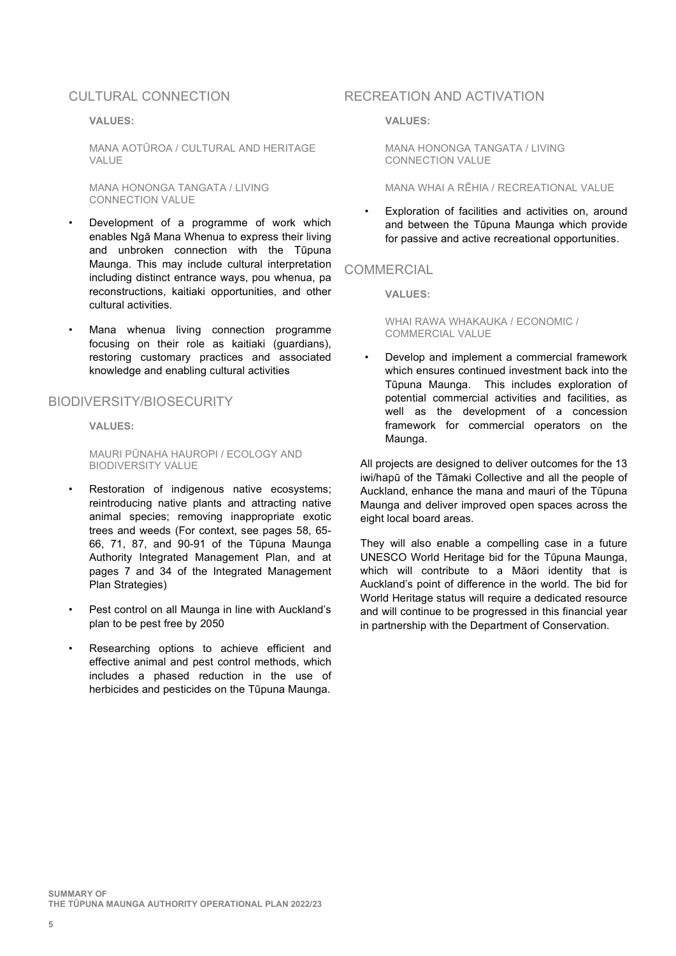#### CULTURAL CONNECTION

#### VALUES:

MANA AOTŪROA / CULTURAL AND HERITAGE VALUE

MANA HONONGA TANGATA / LIVING CONNECTION VALUE

- Development of a programme of work which enables Ngā Mana Whenua to express their living and unbroken connection with the Tūpuna Maunga. This may include cultural interpretation including distinct entrance ways, pou whenua, pa reconstructions, kaitiaki opportunities, and other cultural activities.
- Mana whenua living connection programme focusing on their role as kaitiaki (guardians), restoring customary practices and associated knowledge and enabling cultural activities

#### BIODIVERSITY/BIOSECURITY

VALUES:

MAURI PŪNAHA HAUROPI / ECOLOGY AND BIODIVERSITY VALUE

- Restoration of indigenous native ecosystems; reintroducing native plants and attracting native animal species; removing inappropriate exotic trees and weeds (For context, see pages 58, 65- 66, 71, 87, and 90-91 of the Tūpuna Maunga Authority Integrated Management Plan, and at pages 7 and 34 of the Integrated Management Plan Strategies)
- Pest control on all Maunga in line with Auckland's plan to be pest free by 2050
- Researching options to achieve efficient and effective animal and pest control methods, which includes a phased reduction in the use of herbicides and pesticides on the Tūpuna Maunga.

#### RECREATION AND ACTIVATION

#### VALUES:

MANA HONONGA TANGATA / LIVING CONNECTION VALUE

#### MANA WHAI A RĒHIA / RECREATIONAL VALUE

Exploration of facilities and activities on, around and between the Tūpuna Maunga which provide for passive and active recreational opportunities.

## **COMMERCIAL**

VALUES:

WHAI RAWA WHAKAUKA / ECONOMIC / COMMERCIAL VALUE

• Develop and implement a commercial framework which ensures continued investment back into the Tūpuna Maunga. This includes exploration of potential commercial activities and facilities, as well as the development of a concession framework for commercial operators on the Maunga.

All projects are designed to deliver outcomes for the 13 iwi/hapū of the Tāmaki Collective and all the people of Auckland, enhance the mana and mauri of the Tūpuna Maunga and deliver improved open spaces across the eight local board areas.

They will also enable a compelling case in a future UNESCO World Heritage bid for the Tūpuna Maunga, which will contribute to a Māori identity that is Auckland's point of difference in the world. The bid for World Heritage status will require a dedicated resource and will continue to be progressed in this financial year in partnership with the Department of Conservation.